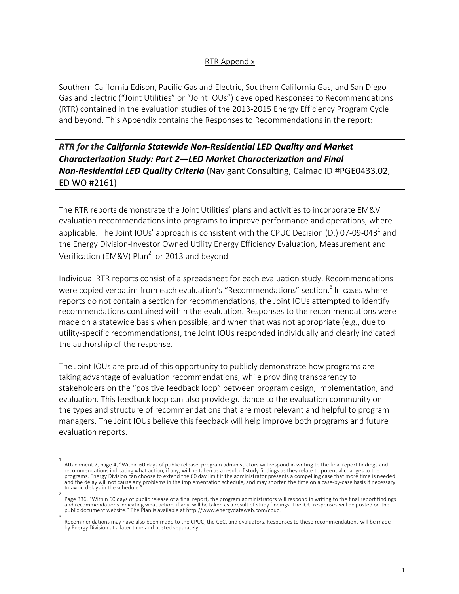## RTR Appendix

Southern California Edison, Pacific Gas and Electric, Southern California Gas, and San Diego Gas and Electric ("Joint Utilities" or "Joint IOUs") developed Responses to Recommendations (RTR) contained in the evaluation studies of the 2013-2015 Energy Efficiency Program Cycle and beyond. This Appendix contains the Responses to Recommendations in the report:

*RTR for the California Statewide Non-Residential LED Quality and Market Characterization Study: Part 2—LED Market Characterization and Final Non-Residential LED Quality Criteria* (Navigant Consulting, Calmac ID #PGE0433.02, ED WO #2161)

The RTR reports demonstrate the Joint Utilities' plans and activities to incorporate EM&V evaluation recommendations into programs to improve performance and operations, where applicable. The Joint IOUs' approach is consistent with the CPUC Decision (D.) 07-09-043<sup>1</sup> and the Energy Division-Investor Owned Utility Energy Efficiency Evaluation, Measurement and Verification (EM&V) Plan<sup>2</sup> for 2013 and beyond.

Individual RTR reports consist of a spreadsheet for each evaluation study. Recommendations were copied verbatim from each evaluation's "Recommendations" section.<sup>3</sup> In cases where reports do not contain a section for recommendations, the Joint IOUs attempted to identify recommendations contained within the evaluation. Responses to the recommendations were made on a statewide basis when possible, and when that was not appropriate (e.g., due to utility-specific recommendations), the Joint IOUs responded individually and clearly indicated the authorship of the response.

The Joint IOUs are proud of this opportunity to publicly demonstrate how programs are taking advantage of evaluation recommendations, while providing transparency to stakeholders on the "positive feedback loop" between program design, implementation, and evaluation. This feedback loop can also provide guidance to the evaluation community on the types and structure of recommendations that are most relevant and helpful to program managers. The Joint IOUs believe this feedback will help improve both programs and future evaluation reports.

<sup>1</sup>  Attachment 7, page 4, "Within 60 days of public release, program administrators will respond in writing to the final report findings and recommendations indicating what action, if any, will be taken as a result of study findings as they relate to potential changes to the programs. Energy Division can choose to extend the 60 day limit if the administrator presents a compelling case that more time is needed and the delay will not cause any problems in the implementation schedule, and may shorten the time on a case-by-case basis if necessary to avoid delays in the schedule."

<sup>2</sup>  Page 336, "Within 60 days of public release of a final report, the program administrators will respond in writing to the final report findings and recommendations indicating what action, if any, will be taken as a result of study findings. The IOU responses will be posted on the public document website." The Plan is available at http://www.energydataweb.com/cpuc.<br>3

Recommendations may have also been made to the CPUC, the CEC, and evaluators. Responses to these recommendations will be made by Energy Division at a later time and posted separately.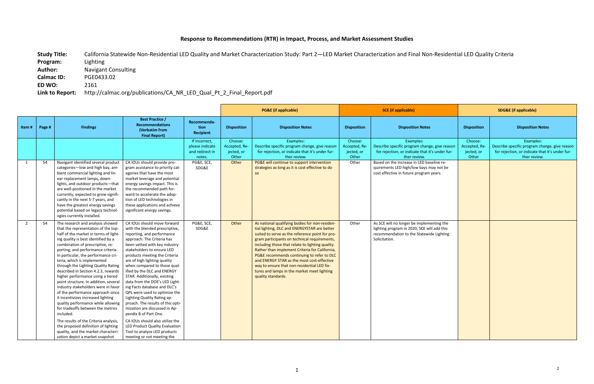## **Response to Recommendations (RTR) in Impact, Process, and Market Assessment Studies**

Study Title: California Statewide Non-Residential LED Quality and Market Characterization Study: Part 2—LED Market Characterization and Final Non-Residential LED Quality Criteria<br>Program: Lighting **Program: Author:** Navigant Consulting **Calmac ID:** PGE0433.02 **ED WO:** 2161 **Link to Report:** http://calmac.org/publications/CA\_NR\_LED\_Qual\_Pt\_2\_Final\_Report.pdf

|                |        |                                                                                                                                                                                                                                                                                                                                                                                                                                                                                                                                                                                                                                                                                                                                                                                                                                         |                                                                                                                                                                                                                                                                                                                                                                                                                                                                                                                                                                                                                                                                                                                              |                                                               |                                                 | <b>PG&amp;E</b> (if applicable)                                                                                                                                                                                                                                                                                                                                                                                                                                                                                         |                                                 | <b>SCE</b> (if applicable)                                                                                                                            |                                                 | <b>SDG&amp;E (if applicable)</b>                                                                                              |
|----------------|--------|-----------------------------------------------------------------------------------------------------------------------------------------------------------------------------------------------------------------------------------------------------------------------------------------------------------------------------------------------------------------------------------------------------------------------------------------------------------------------------------------------------------------------------------------------------------------------------------------------------------------------------------------------------------------------------------------------------------------------------------------------------------------------------------------------------------------------------------------|------------------------------------------------------------------------------------------------------------------------------------------------------------------------------------------------------------------------------------------------------------------------------------------------------------------------------------------------------------------------------------------------------------------------------------------------------------------------------------------------------------------------------------------------------------------------------------------------------------------------------------------------------------------------------------------------------------------------------|---------------------------------------------------------------|-------------------------------------------------|-------------------------------------------------------------------------------------------------------------------------------------------------------------------------------------------------------------------------------------------------------------------------------------------------------------------------------------------------------------------------------------------------------------------------------------------------------------------------------------------------------------------------|-------------------------------------------------|-------------------------------------------------------------------------------------------------------------------------------------------------------|-------------------------------------------------|-------------------------------------------------------------------------------------------------------------------------------|
| Item#          | Page # | <b>Findings</b>                                                                                                                                                                                                                                                                                                                                                                                                                                                                                                                                                                                                                                                                                                                                                                                                                         | <b>Best Practice /</b><br><b>Recommendations</b><br>(Verbatim from<br><b>Final Report)</b>                                                                                                                                                                                                                                                                                                                                                                                                                                                                                                                                                                                                                                   | Recommenda-<br>tion<br>Recipient                              | <b>Disposition</b>                              | <b>Disposition Notes</b>                                                                                                                                                                                                                                                                                                                                                                                                                                                                                                | <b>Disposition</b>                              | <b>Disposition Notes</b>                                                                                                                              | <b>Disposition</b>                              | <b>Disposition Notes</b>                                                                                                      |
|                |        |                                                                                                                                                                                                                                                                                                                                                                                                                                                                                                                                                                                                                                                                                                                                                                                                                                         |                                                                                                                                                                                                                                                                                                                                                                                                                                                                                                                                                                                                                                                                                                                              | If incorrect,<br>please indicate<br>and redirect in<br>notes. | Choose:<br>Accepted, Re-<br>jected, or<br>Other | Examples:<br>Describe specific program change, give reason<br>for rejection, or indicate that it's under fur-<br>ther review.                                                                                                                                                                                                                                                                                                                                                                                           | Choose:<br>Accepted, Re-<br>jected, or<br>Other | Examples:<br>Describe specific program change, give reason<br>for rejection, or indicate that it's under fur-<br>ther review.                         | Choose:<br>Accepted, Re-<br>jected, or<br>Other | Examples:<br>Describe specific program change, give reason<br>for rejection, or indicate that it's under fur-<br>ther review. |
| 1              | 54     | Navigant identified several product<br>categories-low and high bay, am-<br>bient commercial lighting and lin-<br>ear replacement lamps, down-<br>lights, and outdoor products-that<br>are well-positioned in the market<br>currently, expected to grow signifi-<br>cantly in the next 5-7 years, and<br>have the greatest energy savings<br>potential based on legacy technol-<br>ogies currently installed.                                                                                                                                                                                                                                                                                                                                                                                                                            | CA IOUs should provide pro-<br>gram assistance to priority cat-<br>egories that have the most<br>market leverage and potential<br>energy savings impact. This is<br>the recommended path for-<br>ward to accelerate the adop-<br>tion of LED technologies in<br>these applications and achieve<br>significant energy savings.                                                                                                                                                                                                                                                                                                                                                                                                | PG&E, SCE,<br>SDG&E                                           | Other                                           | PG&E will continue to support intervention<br>strategies as long as it is cost effective to do<br><b>SO</b>                                                                                                                                                                                                                                                                                                                                                                                                             | Other                                           | Based on the increase in LED baseline re-<br>quirements LED high/low bays may not be<br>cost effective in future program years.                       |                                                 |                                                                                                                               |
| $\overline{2}$ | 54     | The research and analysis showed<br>that the representation of the top-<br>half of the market in terms of light-<br>ing quality is best identified by a<br>combination of prescriptive, re-<br>porting, and performance criteria.<br>In particular, the performance cri-<br>teria, which is implemented<br>through the Lighting Quality Rating<br>described in Section 4.2.3, rewards<br>higher performance using a tiered<br>point structure. In addition, several<br>industry stakeholders were in favor<br>of the performance approach since<br>it incentivizes increased lighting<br>quality performance while allowing<br>for tradeoffs between the metrics<br>included.<br>The results of the Criteria analysis,<br>the proposed definition of lighting<br>quality, and the market characteri-<br>zation depict a market snapshot | CA IOUs should move forward<br>with the blended prescriptive,<br>reporting, and performance<br>approach. The Criteria has<br>been vetted with key industry<br>stakeholders to ensure LED<br>products meeting the Criteria<br>are of high lighting quality<br>when compared to those qual-<br>ified by the DLC and ENERGY<br>STAR. Additionally, existing<br>data from the DOE's LED Light-<br>ing Facts database and DLC's<br>QPL were used to optimize the<br>Lighting Quality Rating ap-<br>proach. The results of this opti-<br>mization are discussed in Ap-<br>pendix B of Part One.<br>CA IOUs should also utilize the<br>LED Product Quality Evaluation<br>Tool to analyze LED products<br>meeting or not meeting the | PG&E, SCE,<br>SDG&E                                           | Other                                           | As national qualifying bodies for non-residen-<br>tial lighting, DLC and ENERGYSTAR are better<br>suited to serve as the reference point for pro-<br>gram participants on technical requirements,<br>including those that relate to lighting quality.<br>Rather than implement Criteria for California,<br>PG&E recommends continuing to refer to DLC<br>and ENERGY STAR as the most cost-effective<br>way to ensure that non-residential LED fix-<br>tures and lamps in the market meet lighting<br>quality standards. | Other                                           | As SCE will no longer be implementing the<br>lighting program in 2020, SCE will add this<br>recommendation to the Statewide Lighting<br>Solicitation. |                                                 |                                                                                                                               |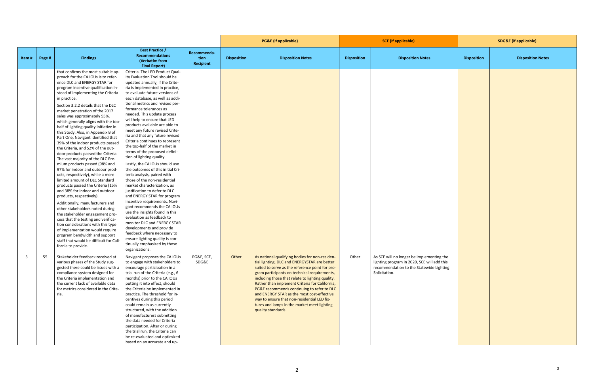| <b>Best Practice /</b><br>Recommenda-<br><b>Recommendations</b><br><b>Findings</b><br><b>Disposition Notes</b><br><b>Disposition Notes</b><br><b>Disposition Notes</b><br><b>Disposition</b><br><b>Disposition</b><br><b>Disposition</b><br>Item#<br>Page #<br>tion<br>(Verbatim from<br>Recipient<br><b>Final Report)</b><br>that confirms the most suitable ap-<br>Criteria. The LED Product Qual-<br>proach for the CA IOUs is to refer-<br>ity Evaluation Tool should be<br>ence DLC and ENERGY STAR for<br>updated annually, if the Crite-<br>program incentive qualification in-<br>ria is implemented in practice,<br>stead of implementing the Criteria<br>to evaluate future versions of<br>each database, as well as addi-<br>in practice.<br>tional metrics and revised per-<br>Section 3.2.2 details that the DLC<br>formance tolerances as<br>market penetration of the 2017<br>needed. This update process<br>sales was approximately 55%,<br>will help to ensure that LED<br>which generally aligns with the top-<br>products available are able to<br>half of lighting quality initiative in<br>meet any future revised Crite-<br>this Study. Also, in Appendix B of<br>ria and that any future revised<br>Part One, Navigant identified that<br>Criteria continues to represent<br>39% of the indoor products passed<br>the top-half of the market in<br>the Criteria, and 52% of the out-<br>terms of the proposed defini-<br>door products passed the Criteria.<br>tion of lighting quality.<br>The vast majority of the DLC Pre-<br>mium products passed (98% and<br>Lastly, the CA IOUs should use<br>97% for indoor and outdoor prod-<br>the outcomes of this initial Cri-<br>ucts, respectively), while a more<br>teria analysis, paired with<br>limited amount of DLC Standard<br>those of the non-residential<br>products passed the Criteria (15%<br>market characterization, as<br>and 38% for indoor and outdoor<br>justification to defer to DLC<br>and ENERGY STAR for program<br>products, respectively).<br>incentive requirements. Navi-<br>Additionally, manufacturers and<br>gant recommends the CA IOUs<br>other stakeholders noted during<br>use the insights found in this<br>the stakeholder engagement pro-<br>evaluation as feedback to<br>cess that the testing and verifica-<br>monitor DLC and ENERGY STAR<br>tion considerations with this type<br>developments and provide<br>of implementation would require<br>feedback where necessary to<br>program bandwidth and support<br>ensure lighting quality is con-<br>staff that would be difficult for Cali-<br>tinually emphasized by those<br>fornia to provide. |  |                | <b>PG&amp;E</b> (if applicable) |  | <b>SCE</b> (if applicable) |  | <b>SDG&amp;E</b> (if applicable) |  |
|-----------------------------------------------------------------------------------------------------------------------------------------------------------------------------------------------------------------------------------------------------------------------------------------------------------------------------------------------------------------------------------------------------------------------------------------------------------------------------------------------------------------------------------------------------------------------------------------------------------------------------------------------------------------------------------------------------------------------------------------------------------------------------------------------------------------------------------------------------------------------------------------------------------------------------------------------------------------------------------------------------------------------------------------------------------------------------------------------------------------------------------------------------------------------------------------------------------------------------------------------------------------------------------------------------------------------------------------------------------------------------------------------------------------------------------------------------------------------------------------------------------------------------------------------------------------------------------------------------------------------------------------------------------------------------------------------------------------------------------------------------------------------------------------------------------------------------------------------------------------------------------------------------------------------------------------------------------------------------------------------------------------------------------------------------------------------------------------------------------------------------------------------------------------------------------------------------------------------------------------------------------------------------------------------------------------------------------------------------------------------------------------------------------------------------------------------------------------------------------------------------------------------------------------------------------------------------------------------------------------------------------------------------------------|--|----------------|---------------------------------|--|----------------------------|--|----------------------------------|--|
|                                                                                                                                                                                                                                                                                                                                                                                                                                                                                                                                                                                                                                                                                                                                                                                                                                                                                                                                                                                                                                                                                                                                                                                                                                                                                                                                                                                                                                                                                                                                                                                                                                                                                                                                                                                                                                                                                                                                                                                                                                                                                                                                                                                                                                                                                                                                                                                                                                                                                                                                                                                                                                                                 |  |                |                                 |  |                            |  |                                  |  |
|                                                                                                                                                                                                                                                                                                                                                                                                                                                                                                                                                                                                                                                                                                                                                                                                                                                                                                                                                                                                                                                                                                                                                                                                                                                                                                                                                                                                                                                                                                                                                                                                                                                                                                                                                                                                                                                                                                                                                                                                                                                                                                                                                                                                                                                                                                                                                                                                                                                                                                                                                                                                                                                                 |  |                |                                 |  |                            |  |                                  |  |
|                                                                                                                                                                                                                                                                                                                                                                                                                                                                                                                                                                                                                                                                                                                                                                                                                                                                                                                                                                                                                                                                                                                                                                                                                                                                                                                                                                                                                                                                                                                                                                                                                                                                                                                                                                                                                                                                                                                                                                                                                                                                                                                                                                                                                                                                                                                                                                                                                                                                                                                                                                                                                                                                 |  |                |                                 |  |                            |  |                                  |  |
|                                                                                                                                                                                                                                                                                                                                                                                                                                                                                                                                                                                                                                                                                                                                                                                                                                                                                                                                                                                                                                                                                                                                                                                                                                                                                                                                                                                                                                                                                                                                                                                                                                                                                                                                                                                                                                                                                                                                                                                                                                                                                                                                                                                                                                                                                                                                                                                                                                                                                                                                                                                                                                                                 |  |                |                                 |  |                            |  |                                  |  |
|                                                                                                                                                                                                                                                                                                                                                                                                                                                                                                                                                                                                                                                                                                                                                                                                                                                                                                                                                                                                                                                                                                                                                                                                                                                                                                                                                                                                                                                                                                                                                                                                                                                                                                                                                                                                                                                                                                                                                                                                                                                                                                                                                                                                                                                                                                                                                                                                                                                                                                                                                                                                                                                                 |  |                |                                 |  |                            |  |                                  |  |
|                                                                                                                                                                                                                                                                                                                                                                                                                                                                                                                                                                                                                                                                                                                                                                                                                                                                                                                                                                                                                                                                                                                                                                                                                                                                                                                                                                                                                                                                                                                                                                                                                                                                                                                                                                                                                                                                                                                                                                                                                                                                                                                                                                                                                                                                                                                                                                                                                                                                                                                                                                                                                                                                 |  |                |                                 |  |                            |  |                                  |  |
|                                                                                                                                                                                                                                                                                                                                                                                                                                                                                                                                                                                                                                                                                                                                                                                                                                                                                                                                                                                                                                                                                                                                                                                                                                                                                                                                                                                                                                                                                                                                                                                                                                                                                                                                                                                                                                                                                                                                                                                                                                                                                                                                                                                                                                                                                                                                                                                                                                                                                                                                                                                                                                                                 |  |                |                                 |  |                            |  |                                  |  |
|                                                                                                                                                                                                                                                                                                                                                                                                                                                                                                                                                                                                                                                                                                                                                                                                                                                                                                                                                                                                                                                                                                                                                                                                                                                                                                                                                                                                                                                                                                                                                                                                                                                                                                                                                                                                                                                                                                                                                                                                                                                                                                                                                                                                                                                                                                                                                                                                                                                                                                                                                                                                                                                                 |  |                |                                 |  |                            |  |                                  |  |
|                                                                                                                                                                                                                                                                                                                                                                                                                                                                                                                                                                                                                                                                                                                                                                                                                                                                                                                                                                                                                                                                                                                                                                                                                                                                                                                                                                                                                                                                                                                                                                                                                                                                                                                                                                                                                                                                                                                                                                                                                                                                                                                                                                                                                                                                                                                                                                                                                                                                                                                                                                                                                                                                 |  |                |                                 |  |                            |  |                                  |  |
|                                                                                                                                                                                                                                                                                                                                                                                                                                                                                                                                                                                                                                                                                                                                                                                                                                                                                                                                                                                                                                                                                                                                                                                                                                                                                                                                                                                                                                                                                                                                                                                                                                                                                                                                                                                                                                                                                                                                                                                                                                                                                                                                                                                                                                                                                                                                                                                                                                                                                                                                                                                                                                                                 |  |                |                                 |  |                            |  |                                  |  |
|                                                                                                                                                                                                                                                                                                                                                                                                                                                                                                                                                                                                                                                                                                                                                                                                                                                                                                                                                                                                                                                                                                                                                                                                                                                                                                                                                                                                                                                                                                                                                                                                                                                                                                                                                                                                                                                                                                                                                                                                                                                                                                                                                                                                                                                                                                                                                                                                                                                                                                                                                                                                                                                                 |  |                |                                 |  |                            |  |                                  |  |
|                                                                                                                                                                                                                                                                                                                                                                                                                                                                                                                                                                                                                                                                                                                                                                                                                                                                                                                                                                                                                                                                                                                                                                                                                                                                                                                                                                                                                                                                                                                                                                                                                                                                                                                                                                                                                                                                                                                                                                                                                                                                                                                                                                                                                                                                                                                                                                                                                                                                                                                                                                                                                                                                 |  |                |                                 |  |                            |  |                                  |  |
|                                                                                                                                                                                                                                                                                                                                                                                                                                                                                                                                                                                                                                                                                                                                                                                                                                                                                                                                                                                                                                                                                                                                                                                                                                                                                                                                                                                                                                                                                                                                                                                                                                                                                                                                                                                                                                                                                                                                                                                                                                                                                                                                                                                                                                                                                                                                                                                                                                                                                                                                                                                                                                                                 |  |                |                                 |  |                            |  |                                  |  |
|                                                                                                                                                                                                                                                                                                                                                                                                                                                                                                                                                                                                                                                                                                                                                                                                                                                                                                                                                                                                                                                                                                                                                                                                                                                                                                                                                                                                                                                                                                                                                                                                                                                                                                                                                                                                                                                                                                                                                                                                                                                                                                                                                                                                                                                                                                                                                                                                                                                                                                                                                                                                                                                                 |  |                |                                 |  |                            |  |                                  |  |
|                                                                                                                                                                                                                                                                                                                                                                                                                                                                                                                                                                                                                                                                                                                                                                                                                                                                                                                                                                                                                                                                                                                                                                                                                                                                                                                                                                                                                                                                                                                                                                                                                                                                                                                                                                                                                                                                                                                                                                                                                                                                                                                                                                                                                                                                                                                                                                                                                                                                                                                                                                                                                                                                 |  |                |                                 |  |                            |  |                                  |  |
|                                                                                                                                                                                                                                                                                                                                                                                                                                                                                                                                                                                                                                                                                                                                                                                                                                                                                                                                                                                                                                                                                                                                                                                                                                                                                                                                                                                                                                                                                                                                                                                                                                                                                                                                                                                                                                                                                                                                                                                                                                                                                                                                                                                                                                                                                                                                                                                                                                                                                                                                                                                                                                                                 |  |                |                                 |  |                            |  |                                  |  |
|                                                                                                                                                                                                                                                                                                                                                                                                                                                                                                                                                                                                                                                                                                                                                                                                                                                                                                                                                                                                                                                                                                                                                                                                                                                                                                                                                                                                                                                                                                                                                                                                                                                                                                                                                                                                                                                                                                                                                                                                                                                                                                                                                                                                                                                                                                                                                                                                                                                                                                                                                                                                                                                                 |  |                |                                 |  |                            |  |                                  |  |
|                                                                                                                                                                                                                                                                                                                                                                                                                                                                                                                                                                                                                                                                                                                                                                                                                                                                                                                                                                                                                                                                                                                                                                                                                                                                                                                                                                                                                                                                                                                                                                                                                                                                                                                                                                                                                                                                                                                                                                                                                                                                                                                                                                                                                                                                                                                                                                                                                                                                                                                                                                                                                                                                 |  |                |                                 |  |                            |  |                                  |  |
|                                                                                                                                                                                                                                                                                                                                                                                                                                                                                                                                                                                                                                                                                                                                                                                                                                                                                                                                                                                                                                                                                                                                                                                                                                                                                                                                                                                                                                                                                                                                                                                                                                                                                                                                                                                                                                                                                                                                                                                                                                                                                                                                                                                                                                                                                                                                                                                                                                                                                                                                                                                                                                                                 |  |                |                                 |  |                            |  |                                  |  |
|                                                                                                                                                                                                                                                                                                                                                                                                                                                                                                                                                                                                                                                                                                                                                                                                                                                                                                                                                                                                                                                                                                                                                                                                                                                                                                                                                                                                                                                                                                                                                                                                                                                                                                                                                                                                                                                                                                                                                                                                                                                                                                                                                                                                                                                                                                                                                                                                                                                                                                                                                                                                                                                                 |  |                |                                 |  |                            |  |                                  |  |
|                                                                                                                                                                                                                                                                                                                                                                                                                                                                                                                                                                                                                                                                                                                                                                                                                                                                                                                                                                                                                                                                                                                                                                                                                                                                                                                                                                                                                                                                                                                                                                                                                                                                                                                                                                                                                                                                                                                                                                                                                                                                                                                                                                                                                                                                                                                                                                                                                                                                                                                                                                                                                                                                 |  |                |                                 |  |                            |  |                                  |  |
|                                                                                                                                                                                                                                                                                                                                                                                                                                                                                                                                                                                                                                                                                                                                                                                                                                                                                                                                                                                                                                                                                                                                                                                                                                                                                                                                                                                                                                                                                                                                                                                                                                                                                                                                                                                                                                                                                                                                                                                                                                                                                                                                                                                                                                                                                                                                                                                                                                                                                                                                                                                                                                                                 |  |                |                                 |  |                            |  |                                  |  |
|                                                                                                                                                                                                                                                                                                                                                                                                                                                                                                                                                                                                                                                                                                                                                                                                                                                                                                                                                                                                                                                                                                                                                                                                                                                                                                                                                                                                                                                                                                                                                                                                                                                                                                                                                                                                                                                                                                                                                                                                                                                                                                                                                                                                                                                                                                                                                                                                                                                                                                                                                                                                                                                                 |  |                |                                 |  |                            |  |                                  |  |
|                                                                                                                                                                                                                                                                                                                                                                                                                                                                                                                                                                                                                                                                                                                                                                                                                                                                                                                                                                                                                                                                                                                                                                                                                                                                                                                                                                                                                                                                                                                                                                                                                                                                                                                                                                                                                                                                                                                                                                                                                                                                                                                                                                                                                                                                                                                                                                                                                                                                                                                                                                                                                                                                 |  |                |                                 |  |                            |  |                                  |  |
|                                                                                                                                                                                                                                                                                                                                                                                                                                                                                                                                                                                                                                                                                                                                                                                                                                                                                                                                                                                                                                                                                                                                                                                                                                                                                                                                                                                                                                                                                                                                                                                                                                                                                                                                                                                                                                                                                                                                                                                                                                                                                                                                                                                                                                                                                                                                                                                                                                                                                                                                                                                                                                                                 |  |                |                                 |  |                            |  |                                  |  |
|                                                                                                                                                                                                                                                                                                                                                                                                                                                                                                                                                                                                                                                                                                                                                                                                                                                                                                                                                                                                                                                                                                                                                                                                                                                                                                                                                                                                                                                                                                                                                                                                                                                                                                                                                                                                                                                                                                                                                                                                                                                                                                                                                                                                                                                                                                                                                                                                                                                                                                                                                                                                                                                                 |  |                |                                 |  |                            |  |                                  |  |
|                                                                                                                                                                                                                                                                                                                                                                                                                                                                                                                                                                                                                                                                                                                                                                                                                                                                                                                                                                                                                                                                                                                                                                                                                                                                                                                                                                                                                                                                                                                                                                                                                                                                                                                                                                                                                                                                                                                                                                                                                                                                                                                                                                                                                                                                                                                                                                                                                                                                                                                                                                                                                                                                 |  |                |                                 |  |                            |  |                                  |  |
|                                                                                                                                                                                                                                                                                                                                                                                                                                                                                                                                                                                                                                                                                                                                                                                                                                                                                                                                                                                                                                                                                                                                                                                                                                                                                                                                                                                                                                                                                                                                                                                                                                                                                                                                                                                                                                                                                                                                                                                                                                                                                                                                                                                                                                                                                                                                                                                                                                                                                                                                                                                                                                                                 |  |                |                                 |  |                            |  |                                  |  |
|                                                                                                                                                                                                                                                                                                                                                                                                                                                                                                                                                                                                                                                                                                                                                                                                                                                                                                                                                                                                                                                                                                                                                                                                                                                                                                                                                                                                                                                                                                                                                                                                                                                                                                                                                                                                                                                                                                                                                                                                                                                                                                                                                                                                                                                                                                                                                                                                                                                                                                                                                                                                                                                                 |  |                |                                 |  |                            |  |                                  |  |
|                                                                                                                                                                                                                                                                                                                                                                                                                                                                                                                                                                                                                                                                                                                                                                                                                                                                                                                                                                                                                                                                                                                                                                                                                                                                                                                                                                                                                                                                                                                                                                                                                                                                                                                                                                                                                                                                                                                                                                                                                                                                                                                                                                                                                                                                                                                                                                                                                                                                                                                                                                                                                                                                 |  |                |                                 |  |                            |  |                                  |  |
|                                                                                                                                                                                                                                                                                                                                                                                                                                                                                                                                                                                                                                                                                                                                                                                                                                                                                                                                                                                                                                                                                                                                                                                                                                                                                                                                                                                                                                                                                                                                                                                                                                                                                                                                                                                                                                                                                                                                                                                                                                                                                                                                                                                                                                                                                                                                                                                                                                                                                                                                                                                                                                                                 |  |                |                                 |  |                            |  |                                  |  |
|                                                                                                                                                                                                                                                                                                                                                                                                                                                                                                                                                                                                                                                                                                                                                                                                                                                                                                                                                                                                                                                                                                                                                                                                                                                                                                                                                                                                                                                                                                                                                                                                                                                                                                                                                                                                                                                                                                                                                                                                                                                                                                                                                                                                                                                                                                                                                                                                                                                                                                                                                                                                                                                                 |  |                |                                 |  |                            |  |                                  |  |
|                                                                                                                                                                                                                                                                                                                                                                                                                                                                                                                                                                                                                                                                                                                                                                                                                                                                                                                                                                                                                                                                                                                                                                                                                                                                                                                                                                                                                                                                                                                                                                                                                                                                                                                                                                                                                                                                                                                                                                                                                                                                                                                                                                                                                                                                                                                                                                                                                                                                                                                                                                                                                                                                 |  |                |                                 |  |                            |  |                                  |  |
|                                                                                                                                                                                                                                                                                                                                                                                                                                                                                                                                                                                                                                                                                                                                                                                                                                                                                                                                                                                                                                                                                                                                                                                                                                                                                                                                                                                                                                                                                                                                                                                                                                                                                                                                                                                                                                                                                                                                                                                                                                                                                                                                                                                                                                                                                                                                                                                                                                                                                                                                                                                                                                                                 |  | organizations. |                                 |  |                            |  |                                  |  |
| As national qualifying bodies for non-residen-<br>As SCE will no longer be implementing the<br>Stakeholder feedback received at<br>Navigant proposes the CA IOUs<br>PG&E, SCE,<br>Other<br>Other<br>55<br>$\mathbf{R}$                                                                                                                                                                                                                                                                                                                                                                                                                                                                                                                                                                                                                                                                                                                                                                                                                                                                                                                                                                                                                                                                                                                                                                                                                                                                                                                                                                                                                                                                                                                                                                                                                                                                                                                                                                                                                                                                                                                                                                                                                                                                                                                                                                                                                                                                                                                                                                                                                                          |  |                |                                 |  |                            |  |                                  |  |
| SDG&E<br>lighting program in 2020, SCE will add this<br>various phases of the Study sug-<br>to engage with stakeholders to<br>tial lighting, DLC and ENERGYSTAR are better                                                                                                                                                                                                                                                                                                                                                                                                                                                                                                                                                                                                                                                                                                                                                                                                                                                                                                                                                                                                                                                                                                                                                                                                                                                                                                                                                                                                                                                                                                                                                                                                                                                                                                                                                                                                                                                                                                                                                                                                                                                                                                                                                                                                                                                                                                                                                                                                                                                                                      |  |                |                                 |  |                            |  |                                  |  |
| gested there could be issues with a<br>suited to serve as the reference point for pro-<br>recommendation to the Statewide Lighting<br>encourage participation in a                                                                                                                                                                                                                                                                                                                                                                                                                                                                                                                                                                                                                                                                                                                                                                                                                                                                                                                                                                                                                                                                                                                                                                                                                                                                                                                                                                                                                                                                                                                                                                                                                                                                                                                                                                                                                                                                                                                                                                                                                                                                                                                                                                                                                                                                                                                                                                                                                                                                                              |  |                |                                 |  |                            |  |                                  |  |
| trial run of the Criteria (e.g., 6<br>gram participants on technical requirements,<br>compliance system designed for<br>Solicitation.                                                                                                                                                                                                                                                                                                                                                                                                                                                                                                                                                                                                                                                                                                                                                                                                                                                                                                                                                                                                                                                                                                                                                                                                                                                                                                                                                                                                                                                                                                                                                                                                                                                                                                                                                                                                                                                                                                                                                                                                                                                                                                                                                                                                                                                                                                                                                                                                                                                                                                                           |  |                |                                 |  |                            |  |                                  |  |
| the Criteria implementation and<br>months) prior to the CA IOUs<br>including those that relate to lighting quality.                                                                                                                                                                                                                                                                                                                                                                                                                                                                                                                                                                                                                                                                                                                                                                                                                                                                                                                                                                                                                                                                                                                                                                                                                                                                                                                                                                                                                                                                                                                                                                                                                                                                                                                                                                                                                                                                                                                                                                                                                                                                                                                                                                                                                                                                                                                                                                                                                                                                                                                                             |  |                |                                 |  |                            |  |                                  |  |
| the current lack of available data<br>Rather than implement Criteria for California,<br>putting it into effect, should                                                                                                                                                                                                                                                                                                                                                                                                                                                                                                                                                                                                                                                                                                                                                                                                                                                                                                                                                                                                                                                                                                                                                                                                                                                                                                                                                                                                                                                                                                                                                                                                                                                                                                                                                                                                                                                                                                                                                                                                                                                                                                                                                                                                                                                                                                                                                                                                                                                                                                                                          |  |                |                                 |  |                            |  |                                  |  |
| for metrics considered in the Crite-<br>the Criteria be implemented in<br>PG&E recommends continuing to refer to DLC                                                                                                                                                                                                                                                                                                                                                                                                                                                                                                                                                                                                                                                                                                                                                                                                                                                                                                                                                                                                                                                                                                                                                                                                                                                                                                                                                                                                                                                                                                                                                                                                                                                                                                                                                                                                                                                                                                                                                                                                                                                                                                                                                                                                                                                                                                                                                                                                                                                                                                                                            |  |                |                                 |  |                            |  |                                  |  |
| practice. The threshold for in-<br>and ENERGY STAR as the most cost-effective<br>ria.                                                                                                                                                                                                                                                                                                                                                                                                                                                                                                                                                                                                                                                                                                                                                                                                                                                                                                                                                                                                                                                                                                                                                                                                                                                                                                                                                                                                                                                                                                                                                                                                                                                                                                                                                                                                                                                                                                                                                                                                                                                                                                                                                                                                                                                                                                                                                                                                                                                                                                                                                                           |  |                |                                 |  |                            |  |                                  |  |
| way to ensure that non-residential LED fix-<br>centives during this period                                                                                                                                                                                                                                                                                                                                                                                                                                                                                                                                                                                                                                                                                                                                                                                                                                                                                                                                                                                                                                                                                                                                                                                                                                                                                                                                                                                                                                                                                                                                                                                                                                                                                                                                                                                                                                                                                                                                                                                                                                                                                                                                                                                                                                                                                                                                                                                                                                                                                                                                                                                      |  |                |                                 |  |                            |  |                                  |  |
| could remain as currently<br>tures and lamps in the market meet lighting                                                                                                                                                                                                                                                                                                                                                                                                                                                                                                                                                                                                                                                                                                                                                                                                                                                                                                                                                                                                                                                                                                                                                                                                                                                                                                                                                                                                                                                                                                                                                                                                                                                                                                                                                                                                                                                                                                                                                                                                                                                                                                                                                                                                                                                                                                                                                                                                                                                                                                                                                                                        |  |                |                                 |  |                            |  |                                  |  |
| structured, with the addition<br>quality standards.                                                                                                                                                                                                                                                                                                                                                                                                                                                                                                                                                                                                                                                                                                                                                                                                                                                                                                                                                                                                                                                                                                                                                                                                                                                                                                                                                                                                                                                                                                                                                                                                                                                                                                                                                                                                                                                                                                                                                                                                                                                                                                                                                                                                                                                                                                                                                                                                                                                                                                                                                                                                             |  |                |                                 |  |                            |  |                                  |  |
| of manufacturers submitting                                                                                                                                                                                                                                                                                                                                                                                                                                                                                                                                                                                                                                                                                                                                                                                                                                                                                                                                                                                                                                                                                                                                                                                                                                                                                                                                                                                                                                                                                                                                                                                                                                                                                                                                                                                                                                                                                                                                                                                                                                                                                                                                                                                                                                                                                                                                                                                                                                                                                                                                                                                                                                     |  |                |                                 |  |                            |  |                                  |  |
| the data needed for Criteria                                                                                                                                                                                                                                                                                                                                                                                                                                                                                                                                                                                                                                                                                                                                                                                                                                                                                                                                                                                                                                                                                                                                                                                                                                                                                                                                                                                                                                                                                                                                                                                                                                                                                                                                                                                                                                                                                                                                                                                                                                                                                                                                                                                                                                                                                                                                                                                                                                                                                                                                                                                                                                    |  |                |                                 |  |                            |  |                                  |  |
| participation. After or during                                                                                                                                                                                                                                                                                                                                                                                                                                                                                                                                                                                                                                                                                                                                                                                                                                                                                                                                                                                                                                                                                                                                                                                                                                                                                                                                                                                                                                                                                                                                                                                                                                                                                                                                                                                                                                                                                                                                                                                                                                                                                                                                                                                                                                                                                                                                                                                                                                                                                                                                                                                                                                  |  |                |                                 |  |                            |  |                                  |  |
| the trial run, the Criteria can                                                                                                                                                                                                                                                                                                                                                                                                                                                                                                                                                                                                                                                                                                                                                                                                                                                                                                                                                                                                                                                                                                                                                                                                                                                                                                                                                                                                                                                                                                                                                                                                                                                                                                                                                                                                                                                                                                                                                                                                                                                                                                                                                                                                                                                                                                                                                                                                                                                                                                                                                                                                                                 |  |                |                                 |  |                            |  |                                  |  |
| be re-evaluated and optimized<br>based on an accurate and up-                                                                                                                                                                                                                                                                                                                                                                                                                                                                                                                                                                                                                                                                                                                                                                                                                                                                                                                                                                                                                                                                                                                                                                                                                                                                                                                                                                                                                                                                                                                                                                                                                                                                                                                                                                                                                                                                                                                                                                                                                                                                                                                                                                                                                                                                                                                                                                                                                                                                                                                                                                                                   |  |                |                                 |  |                            |  |                                  |  |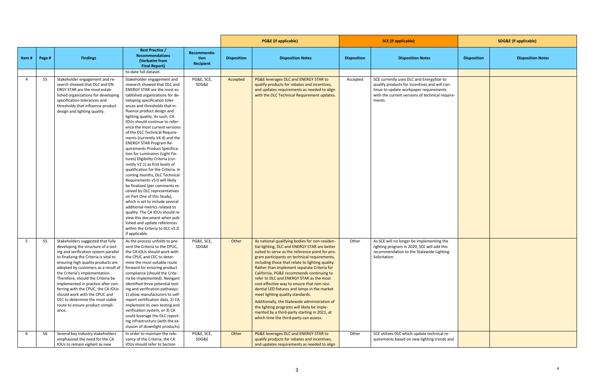|                |        |                                                                                                                                                                                                                                                                                                                                                                                                                                                                                                             |                                                                                                                                                                                                                                                                                                                                                                                                                                                                                                                                                                                                                                                                                                                                                                                                                                                                                                                                                                                                                          |                                         |                    | <b>PG&amp;E</b> (if applicable)                                                                                                                                                                                                                                                                                                                                                                                                                                                                                                                                                                                                                                                                                             | <b>SCE</b> (if applicable) |                                                                                                                                                                                                  | <b>SDG&amp;E</b> (if applicable) |                          |
|----------------|--------|-------------------------------------------------------------------------------------------------------------------------------------------------------------------------------------------------------------------------------------------------------------------------------------------------------------------------------------------------------------------------------------------------------------------------------------------------------------------------------------------------------------|--------------------------------------------------------------------------------------------------------------------------------------------------------------------------------------------------------------------------------------------------------------------------------------------------------------------------------------------------------------------------------------------------------------------------------------------------------------------------------------------------------------------------------------------------------------------------------------------------------------------------------------------------------------------------------------------------------------------------------------------------------------------------------------------------------------------------------------------------------------------------------------------------------------------------------------------------------------------------------------------------------------------------|-----------------------------------------|--------------------|-----------------------------------------------------------------------------------------------------------------------------------------------------------------------------------------------------------------------------------------------------------------------------------------------------------------------------------------------------------------------------------------------------------------------------------------------------------------------------------------------------------------------------------------------------------------------------------------------------------------------------------------------------------------------------------------------------------------------------|----------------------------|--------------------------------------------------------------------------------------------------------------------------------------------------------------------------------------------------|----------------------------------|--------------------------|
| Item #         | Page # | <b>Findings</b>                                                                                                                                                                                                                                                                                                                                                                                                                                                                                             | <b>Best Practice /</b><br><b>Recommendations</b><br>(Verbatim from<br><b>Final Report)</b>                                                                                                                                                                                                                                                                                                                                                                                                                                                                                                                                                                                                                                                                                                                                                                                                                                                                                                                               | Recommenda-<br>tion<br><b>Recipient</b> | <b>Disposition</b> | <b>Disposition Notes</b>                                                                                                                                                                                                                                                                                                                                                                                                                                                                                                                                                                                                                                                                                                    | <b>Disposition</b>         | <b>Disposition Notes</b>                                                                                                                                                                         | <b>Disposition</b>               | <b>Disposition Notes</b> |
|                |        |                                                                                                                                                                                                                                                                                                                                                                                                                                                                                                             | to-date full dataset.                                                                                                                                                                                                                                                                                                                                                                                                                                                                                                                                                                                                                                                                                                                                                                                                                                                                                                                                                                                                    |                                         |                    |                                                                                                                                                                                                                                                                                                                                                                                                                                                                                                                                                                                                                                                                                                                             |                            |                                                                                                                                                                                                  |                                  |                          |
| $\overline{4}$ | 55     | Stakeholder engagement and re-<br>search showed that DLC and EN-<br>ERGY STAR are the most estab-<br>lished organizations for developing<br>specification tolerances and<br>thresholds that influence product<br>design and lighting quality.                                                                                                                                                                                                                                                               | Stakeholder engagement and<br>research showed that DLC and<br>ENERGY STAR are the most es-<br>tablished organizations for de-<br>veloping specification toler-<br>ances and thresholds that in-<br>fluence product design and<br>lighting quality. As such, CA<br>IOUs should continue to refer-<br>ence the most current versions<br>of the DLC Technical Require-<br>ments (currently V4.4) and the<br><b>ENERGY STAR Program Re-</b><br>quirements Product Specifica-<br>tion for Luminaires (Light Fix-<br>tures) Eligibility Criteria (cur-<br>rently V2.1) as first levels of<br>qualification for the Criteria. In<br>coming months, DLC Technical<br>Requirements v5.0 will likely<br>be finalized (per comments re-<br>ceived by DLC representatives<br>on Part One of this Study),<br>which is set to include several<br>additional metrics related to<br>quality. The CA IOUs should re-<br>view this document when pub-<br>lished and update references<br>within the Criteria to DLC v5.0<br>if applicable. | PG&E, SCE,<br>SDG&E                     | Accepted           | PG&E leverages DLC and ENERGY STAR to<br>qualify products for rebates and incentives,<br>and updates requirements as needed to align<br>with the DLC Technical Requirement updates.                                                                                                                                                                                                                                                                                                                                                                                                                                                                                                                                         | Accepted                   | SCE currently uses DLC and EnergyStar to<br>qualify products for incentives and will con-<br>tinue to update workpaper requirements<br>with the current versions of technical require-<br>ments. |                                  |                          |
| 5              | 55     | Stakeholders suggested that fully<br>developing the structure of a test-<br>ing and verification system parallel<br>to finalizing the Criteria is vital to<br>ensuring high quality products are<br>adopted by customers as a result of<br>the Criteria's implementation.<br>Therefore, should the Criteria be<br>implemented in practice after con-<br>ferring with the CPUC, the CA IOUs<br>should work with the CPUC and<br>CEC to determine the most viable<br>route to ensure product compli-<br>ance. | As the process unfolds to pre-<br>sent the Criteria to the CPUC,<br>the CA IOUs should work with<br>the CPUC and CEC to deter-<br>mine the most suitable route<br>forward for ensuring product<br>compliance (should the Crite-<br>ria be implemented). Navigant<br>identified three potential test-<br>ing and verification pathways:<br>1) allow manufacturers to self-<br>report certification data, 2) CA<br>implement its own testing and<br>verification system, or 3) CA<br>could leverage the DLC report-<br>ing infrastructure (with the ex-<br>clusion of downlight products).                                                                                                                                                                                                                                                                                                                                                                                                                                 | PG&E, SCE,<br>SDG&E                     | Other              | As national qualifying bodies for non-residen-<br>tial lighting, DLC and ENERGY STAR are better<br>suited to serve as the reference point for pro-<br>gram participants on technical requirements,<br>including those that relate to lighting quality.<br>Rather than implement separate Criteria for<br>California, PG&E recommends continuing to<br>refer to DLC and ENERGY STAR as the most<br>cost-effective way to ensure that non-resi-<br>dential LED fixtures and lamps in the market<br>meet lighting quality standards.<br>Additionally, the Statewide administration of<br>the lighting programs will likely be imple-<br>mented by a third-party starting in 2021, at<br>which time the third-party can assess. | Other                      | As SCE will no longer be implementing the<br>lighting program in 2020, SCE will add this<br>recommendation to the Statewide Lighting<br>Solicitation.                                            |                                  |                          |
| -6             | 56     | Several key industry stakeholders<br>emphasized the need for the CA<br>IOUs to remain vigilant as new                                                                                                                                                                                                                                                                                                                                                                                                       | In order to maintain the rele-<br>vancy of the Criteria, the CA<br>IOUs should refer to Section                                                                                                                                                                                                                                                                                                                                                                                                                                                                                                                                                                                                                                                                                                                                                                                                                                                                                                                          | PG&E, SCE,<br>SDG&E                     | Other              | PG&E leverages DLC and ENERGY STAR to<br>qualify products for rebates and incentives,<br>and updates requirements as needed to align                                                                                                                                                                                                                                                                                                                                                                                                                                                                                                                                                                                        | Other                      | SCE utilizes DLC which update technical re-<br>quirements based on new lighting trends and                                                                                                       |                                  |                          |